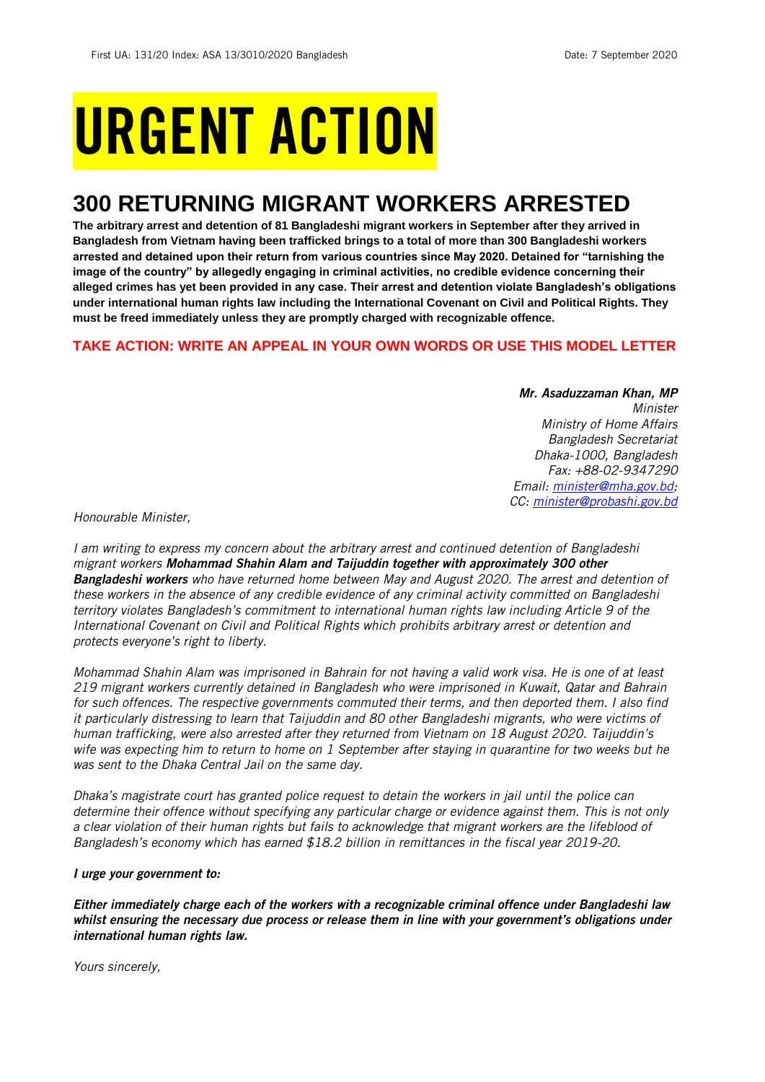# URGENT ACTION

## **300 RETURNING MIGRANT WORKERS ARRESTED**

**The arbitrary arrest and detention of 81 Bangladeshi migrant workers in September after they arrived in Bangladesh from Vietnam having been trafficked brings to a total of more than 300 Bangladeshi workers arrested and detained upon their return from various countries since May 2020. Detained for "tarnishing the image of the country" by allegedly engaging in criminal activities, no credible evidence concerning their alleged crimes has yet been provided in any case. Their arrest and detention violate Bangladesh's obligations under international human rights law including the International Covenant on Civil and Political Rights. They must be freed immediately unless they are promptly charged with recognizable offence.** 

## **TAKE ACTION: WRITE AN APPEAL IN YOUR OWN WORDS OR USE THIS MODEL LETTER**

*Mr. Asaduzzaman Khan, MP Minister Ministry of Home Affairs Bangladesh Secretariat Dhaka-1000, Bangladesh Fax: +88-02-9347290 Email: [minister@mha.gov.bd;](mailto:minister@mha.gov.bd) CC: [minister@probashi.gov.bd](mailto:minister@probashi.gov.bd)*

*Honourable Minister,*

*I am writing to express my concern about the arbitrary arrest and continued detention of Bangladeshi migrant workers Mohammad Shahin Alam and Taijuddin together with approximately 300 other Bangladeshi workers who have returned home between May and August 2020. The arrest and detention of these workers in the absence of any credible evidence of any criminal activity committed on Bangladeshi territory violates Bangladesh's commitment to international human rights law including Article 9 of the International Covenant on Civil and Political Rights which prohibits arbitrary arrest or detention and protects everyone's right to liberty.*

*Mohammad Shahin Alam was imprisoned in Bahrain for not having a valid work visa. He is one of at least 219 migrant workers currently detained in Bangladesh who were imprisoned in Kuwait, Qatar and Bahrain for such offences. The respective governments commuted their terms, and then deported them. I also find it particularly distressing to learn that Taijuddin and 80 other Bangladeshi migrants, who were victims of human trafficking, were also arrested after they returned from Vietnam on 18 August 2020. Taijuddin's wife was expecting him to return to home on 1 September after staying in quarantine for two weeks but he was sent to the Dhaka Central Jail on the same day.*

*Dhaka's magistrate court has granted police request to detain the workers in jail until the police can determine their offence without specifying any particular charge or evidence against them. This is not only a clear violation of their human rights but fails to acknowledge that migrant workers are the lifeblood of Bangladesh's economy which has earned \$18.2 billion in remittances in the fiscal year 2019-20.* 

## *I urge your government to:*

*Either immediately charge each of the workers with a recognizable criminal offence under Bangladeshi law whilst ensuring the necessary due process or release them in line with your government's obligations under international human rights law.*

*Yours sincerely,*